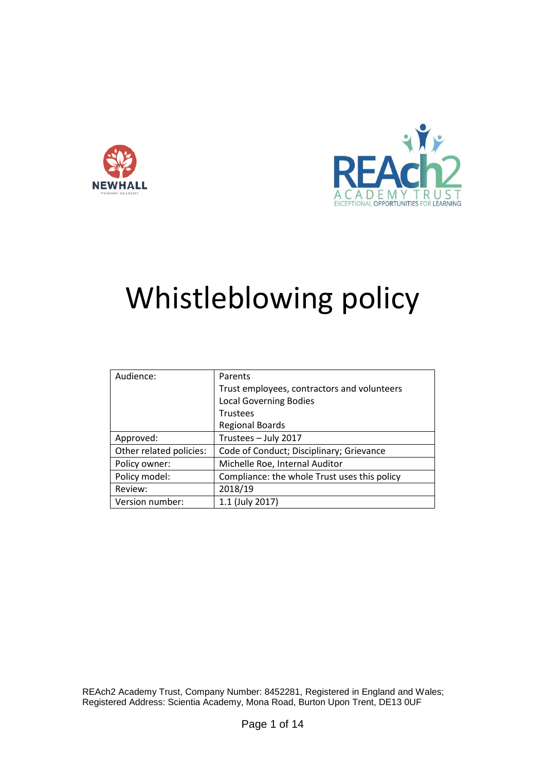



# Whistleblowing policy

| Audience:               | Parents                                      |
|-------------------------|----------------------------------------------|
|                         | Trust employees, contractors and volunteers  |
|                         | <b>Local Governing Bodies</b>                |
|                         | Trustees                                     |
|                         | <b>Regional Boards</b>                       |
| Approved:               | Trustees - July 2017                         |
| Other related policies: | Code of Conduct; Disciplinary; Grievance     |
| Policy owner:           | Michelle Roe, Internal Auditor               |
| Policy model:           | Compliance: the whole Trust uses this policy |
| Review:                 | 2018/19                                      |
| Version number:         | 1.1 (July 2017)                              |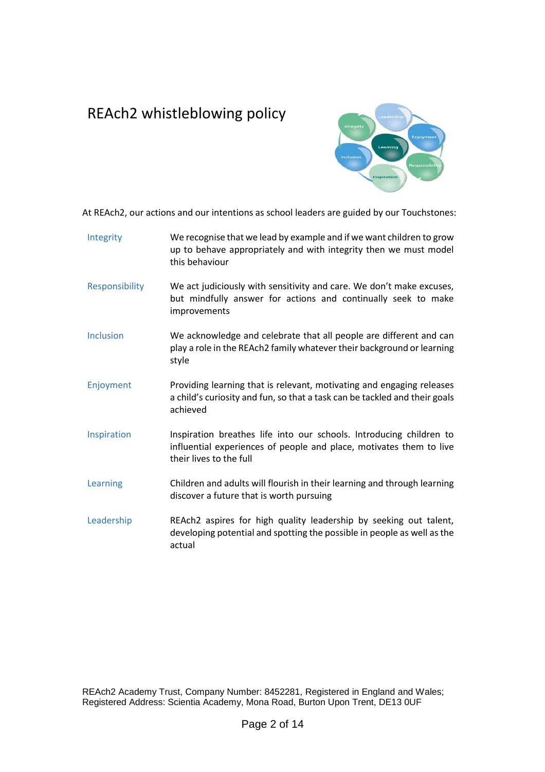# REAch2 whistleblowing policy



At REAch2, our actions and our intentions as school leaders are guided by our Touchstones:

- Integrity We recognise that we lead by example and if we want children to grow up to behave appropriately and with integrity then we must model this behaviour
- Responsibility We act judiciously with sensitivity and care. We don't make excuses, but mindfully answer for actions and continually seek to make improvements
- Inclusion We acknowledge and celebrate that all people are different and can play a role in the REAch2 family whatever their background or learning style
- Enjoyment Providing learning that is relevant, motivating and engaging releases a child's curiosity and fun, so that a task can be tackled and their goals achieved
- Inspiration Inspiration breathes life into our schools. Introducing children to influential experiences of people and place, motivates them to live their lives to the full
- Learning Children and adults will flourish in their learning and through learning discover a future that is worth pursuing
- Leadership REAch2 aspires for high quality leadership by seeking out talent, developing potential and spotting the possible in people as well as the actual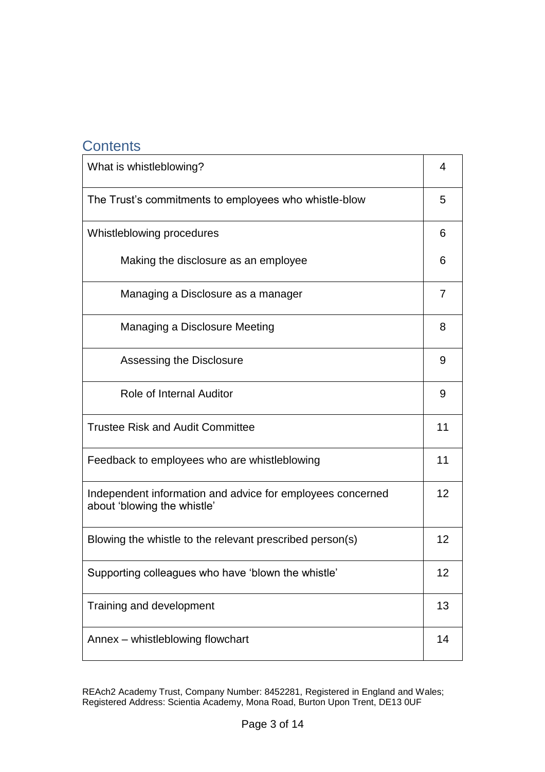### **Contents**

| What is whistleblowing?                                                                   |    |
|-------------------------------------------------------------------------------------------|----|
| The Trust's commitments to employees who whistle-blow                                     |    |
| Whistleblowing procedures                                                                 |    |
| Making the disclosure as an employee                                                      | 6  |
| Managing a Disclosure as a manager                                                        | 7  |
| Managing a Disclosure Meeting                                                             | 8  |
| Assessing the Disclosure                                                                  | 9  |
| Role of Internal Auditor                                                                  | 9  |
| <b>Trustee Risk and Audit Committee</b>                                                   |    |
| Feedback to employees who are whistleblowing                                              |    |
| Independent information and advice for employees concerned<br>about 'blowing the whistle' | 12 |
| Blowing the whistle to the relevant prescribed person(s)                                  | 12 |
| Supporting colleagues who have 'blown the whistle'                                        |    |
| Training and development                                                                  |    |
| Annex - whistleblowing flowchart                                                          |    |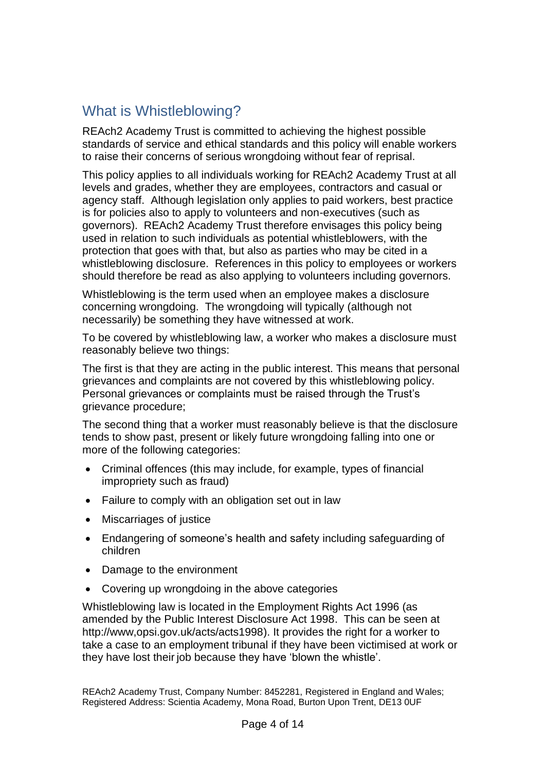# What is Whistleblowing?

REAch2 Academy Trust is committed to achieving the highest possible standards of service and ethical standards and this policy will enable workers to raise their concerns of serious wrongdoing without fear of reprisal.

This policy applies to all individuals working for REAch2 Academy Trust at all levels and grades, whether they are employees, contractors and casual or agency staff. Although legislation only applies to paid workers, best practice is for policies also to apply to volunteers and non-executives (such as governors). REAch2 Academy Trust therefore envisages this policy being used in relation to such individuals as potential whistleblowers, with the protection that goes with that, but also as parties who may be cited in a whistleblowing disclosure. References in this policy to employees or workers should therefore be read as also applying to volunteers including governors.

Whistleblowing is the term used when an employee makes a disclosure concerning wrongdoing. The wrongdoing will typically (although not necessarily) be something they have witnessed at work.

To be covered by whistleblowing law, a worker who makes a disclosure must reasonably believe two things:

The first is that they are acting in the public interest. This means that personal grievances and complaints are not covered by this whistleblowing policy. Personal grievances or complaints must be raised through the Trust's grievance procedure;

The second thing that a worker must reasonably believe is that the disclosure tends to show past, present or likely future wrongdoing falling into one or more of the following categories:

- Criminal offences (this may include, for example, types of financial impropriety such as fraud)
- Failure to comply with an obligation set out in law
- Miscarriages of justice
- Endangering of someone's health and safety including safeguarding of children
- Damage to the environment
- Covering up wrongdoing in the above categories

Whistleblowing law is located in the Employment Rights Act 1996 (as amended by the Public Interest Disclosure Act 1998. This can be seen at http://www,opsi.gov.uk/acts/acts1998). It provides the right for a worker to take a case to an employment tribunal if they have been victimised at work or they have lost their job because they have 'blown the whistle'.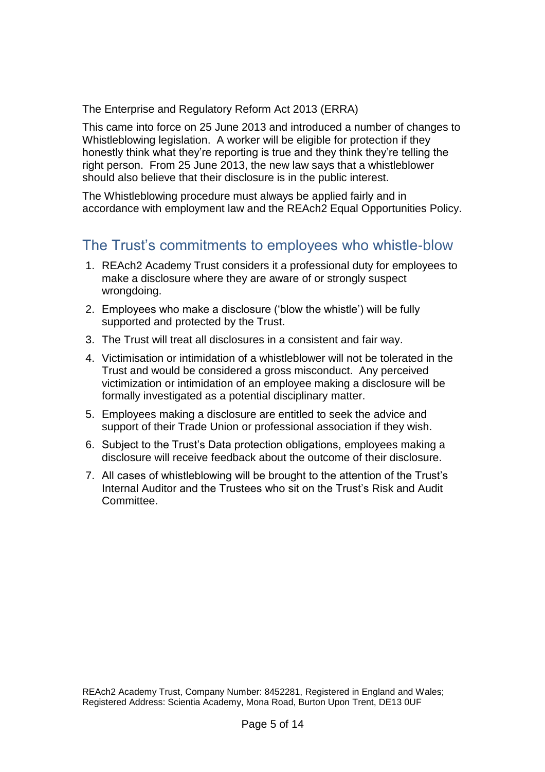The Enterprise and Regulatory Reform Act 2013 (ERRA)

This came into force on 25 June 2013 and introduced a number of changes to Whistleblowing legislation. A worker will be eligible for protection if they honestly think what they're reporting is true and they think they're telling the right person. From 25 June 2013, the new law says that a whistleblower should also believe that their disclosure is in the public interest.

The Whistleblowing procedure must always be applied fairly and in accordance with employment law and the REAch2 Equal Opportunities Policy.

## The Trust's commitments to employees who whistle-blow

- 1. REAch2 Academy Trust considers it a professional duty for employees to make a disclosure where they are aware of or strongly suspect wrongdoing.
- 2. Employees who make a disclosure ('blow the whistle') will be fully supported and protected by the Trust.
- 3. The Trust will treat all disclosures in a consistent and fair way.
- 4. Victimisation or intimidation of a whistleblower will not be tolerated in the Trust and would be considered a gross misconduct. Any perceived victimization or intimidation of an employee making a disclosure will be formally investigated as a potential disciplinary matter.
- 5. Employees making a disclosure are entitled to seek the advice and support of their Trade Union or professional association if they wish.
- 6. Subject to the Trust's Data protection obligations, employees making a disclosure will receive feedback about the outcome of their disclosure.
- 7. All cases of whistleblowing will be brought to the attention of the Trust's Internal Auditor and the Trustees who sit on the Trust's Risk and Audit Committee.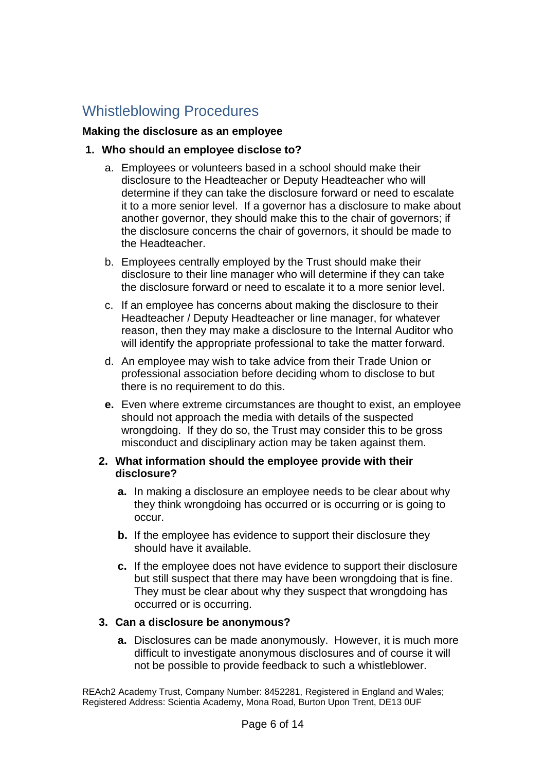# Whistleblowing Procedures

#### **Making the disclosure as an employee**

#### **1. Who should an employee disclose to?**

- a. Employees or volunteers based in a school should make their disclosure to the Headteacher or Deputy Headteacher who will determine if they can take the disclosure forward or need to escalate it to a more senior level. If a governor has a disclosure to make about another governor, they should make this to the chair of governors; if the disclosure concerns the chair of governors, it should be made to the Headteacher.
- b. Employees centrally employed by the Trust should make their disclosure to their line manager who will determine if they can take the disclosure forward or need to escalate it to a more senior level.
- c. If an employee has concerns about making the disclosure to their Headteacher / Deputy Headteacher or line manager, for whatever reason, then they may make a disclosure to the Internal Auditor who will identify the appropriate professional to take the matter forward.
- d. An employee may wish to take advice from their Trade Union or professional association before deciding whom to disclose to but there is no requirement to do this.
- **e.** Even where extreme circumstances are thought to exist, an employee should not approach the media with details of the suspected wrongdoing. If they do so, the Trust may consider this to be gross misconduct and disciplinary action may be taken against them.

#### **2. What information should the employee provide with their disclosure?**

- **a.** In making a disclosure an employee needs to be clear about why they think wrongdoing has occurred or is occurring or is going to occur.
- **b.** If the employee has evidence to support their disclosure they should have it available.
- **c.** If the employee does not have evidence to support their disclosure but still suspect that there may have been wrongdoing that is fine. They must be clear about why they suspect that wrongdoing has occurred or is occurring.

#### **3. Can a disclosure be anonymous?**

**a.** Disclosures can be made anonymously. However, it is much more difficult to investigate anonymous disclosures and of course it will not be possible to provide feedback to such a whistleblower.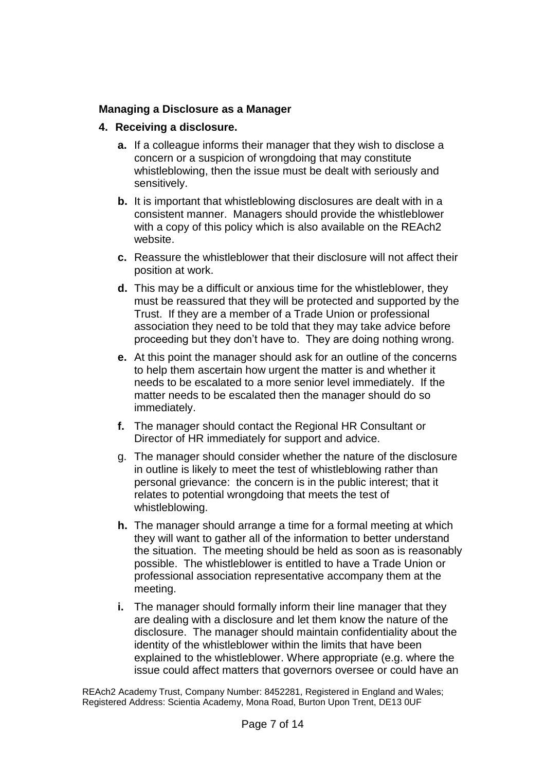#### **Managing a Disclosure as a Manager**

#### **4. Receiving a disclosure.**

- **a.** If a colleague informs their manager that they wish to disclose a concern or a suspicion of wrongdoing that may constitute whistleblowing, then the issue must be dealt with seriously and sensitively.
- **b.** It is important that whistleblowing disclosures are dealt with in a consistent manner. Managers should provide the whistleblower with a copy of this policy which is also available on the REAch2 website.
- **c.** Reassure the whistleblower that their disclosure will not affect their position at work.
- **d.** This may be a difficult or anxious time for the whistleblower, they must be reassured that they will be protected and supported by the Trust. If they are a member of a Trade Union or professional association they need to be told that they may take advice before proceeding but they don't have to. They are doing nothing wrong.
- **e.** At this point the manager should ask for an outline of the concerns to help them ascertain how urgent the matter is and whether it needs to be escalated to a more senior level immediately. If the matter needs to be escalated then the manager should do so immediately.
- **f.** The manager should contact the Regional HR Consultant or Director of HR immediately for support and advice.
- g. The manager should consider whether the nature of the disclosure in outline is likely to meet the test of whistleblowing rather than personal grievance: the concern is in the public interest; that it relates to potential wrongdoing that meets the test of whistleblowing.
- **h.** The manager should arrange a time for a formal meeting at which they will want to gather all of the information to better understand the situation. The meeting should be held as soon as is reasonably possible. The whistleblower is entitled to have a Trade Union or professional association representative accompany them at the meeting.
- **i.** The manager should formally inform their line manager that they are dealing with a disclosure and let them know the nature of the disclosure. The manager should maintain confidentiality about the identity of the whistleblower within the limits that have been explained to the whistleblower. Where appropriate (e.g. where the issue could affect matters that governors oversee or could have an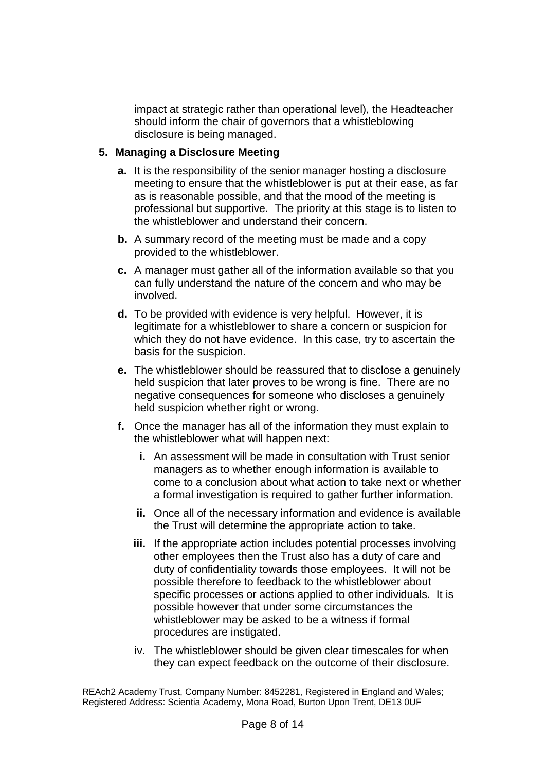impact at strategic rather than operational level), the Headteacher should inform the chair of governors that a whistleblowing disclosure is being managed.

#### **5. Managing a Disclosure Meeting**

- **a.** It is the responsibility of the senior manager hosting a disclosure meeting to ensure that the whistleblower is put at their ease, as far as is reasonable possible, and that the mood of the meeting is professional but supportive. The priority at this stage is to listen to the whistleblower and understand their concern.
- **b.** A summary record of the meeting must be made and a copy provided to the whistleblower.
- **c.** A manager must gather all of the information available so that you can fully understand the nature of the concern and who may be involved.
- **d.** To be provided with evidence is very helpful. However, it is legitimate for a whistleblower to share a concern or suspicion for which they do not have evidence. In this case, try to ascertain the basis for the suspicion.
- **e.** The whistleblower should be reassured that to disclose a genuinely held suspicion that later proves to be wrong is fine. There are no negative consequences for someone who discloses a genuinely held suspicion whether right or wrong.
- **f.** Once the manager has all of the information they must explain to the whistleblower what will happen next:
	- **i.** An assessment will be made in consultation with Trust senior managers as to whether enough information is available to come to a conclusion about what action to take next or whether a formal investigation is required to gather further information.
	- **ii.** Once all of the necessary information and evidence is available the Trust will determine the appropriate action to take.
	- **iii.** If the appropriate action includes potential processes involving other employees then the Trust also has a duty of care and duty of confidentiality towards those employees. It will not be possible therefore to feedback to the whistleblower about specific processes or actions applied to other individuals. It is possible however that under some circumstances the whistleblower may be asked to be a witness if formal procedures are instigated.
	- iv. The whistleblower should be given clear timescales for when they can expect feedback on the outcome of their disclosure.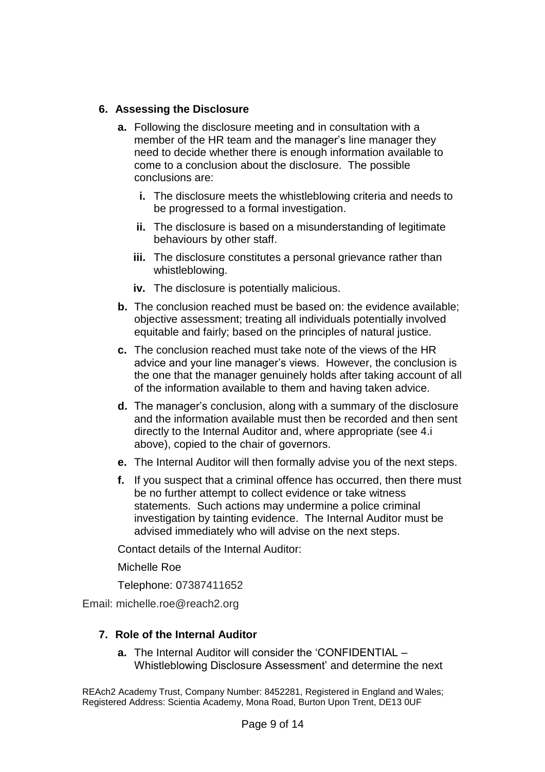#### **6. Assessing the Disclosure**

- **a.** Following the disclosure meeting and in consultation with a member of the HR team and the manager's line manager they need to decide whether there is enough information available to come to a conclusion about the disclosure. The possible conclusions are:
	- **i.** The disclosure meets the whistleblowing criteria and needs to be progressed to a formal investigation.
	- **ii.** The disclosure is based on a misunderstanding of legitimate behaviours by other staff.
	- **iii.** The disclosure constitutes a personal grievance rather than whistleblowing.
	- **iv.** The disclosure is potentially malicious.
- **b.** The conclusion reached must be based on: the evidence available; objective assessment; treating all individuals potentially involved equitable and fairly; based on the principles of natural justice.
- **c.** The conclusion reached must take note of the views of the HR advice and your line manager's views. However, the conclusion is the one that the manager genuinely holds after taking account of all of the information available to them and having taken advice.
- **d.** The manager's conclusion, along with a summary of the disclosure and the information available must then be recorded and then sent directly to the Internal Auditor and, where appropriate (see 4.i above), copied to the chair of governors.
- **e.** The Internal Auditor will then formally advise you of the next steps.
- **f.** If you suspect that a criminal offence has occurred, then there must be no further attempt to collect evidence or take witness statements. Such actions may undermine a police criminal investigation by tainting evidence. The Internal Auditor must be advised immediately who will advise on the next steps.

Contact details of the Internal Auditor:

Michelle Roe

Telephone: 07387411652

Email: michelle.roe@reach2.org

#### **7. Role of the Internal Auditor**

**a.** The Internal Auditor will consider the 'CONFIDENTIAL – Whistleblowing Disclosure Assessment' and determine the next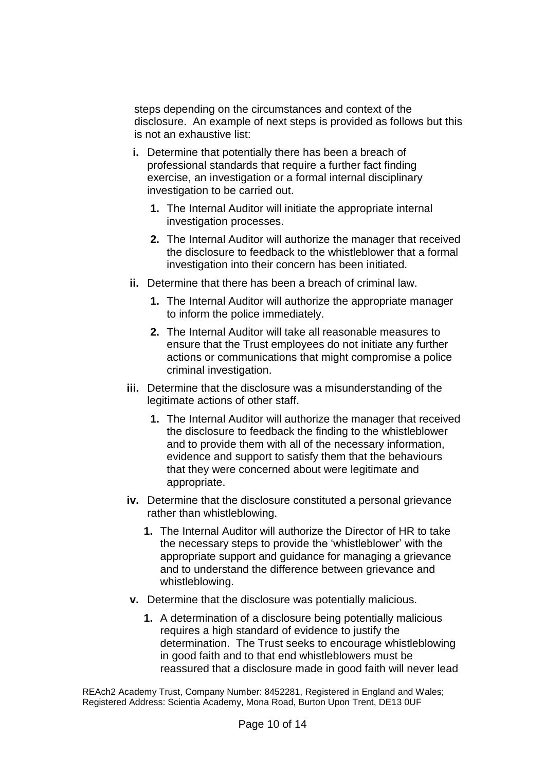steps depending on the circumstances and context of the disclosure. An example of next steps is provided as follows but this is not an exhaustive list:

- **i.** Determine that potentially there has been a breach of professional standards that require a further fact finding exercise, an investigation or a formal internal disciplinary investigation to be carried out.
	- **1.** The Internal Auditor will initiate the appropriate internal investigation processes.
	- **2.** The Internal Auditor will authorize the manager that received the disclosure to feedback to the whistleblower that a formal investigation into their concern has been initiated.
- **ii.** Determine that there has been a breach of criminal law.
	- **1.** The Internal Auditor will authorize the appropriate manager to inform the police immediately.
	- **2.** The Internal Auditor will take all reasonable measures to ensure that the Trust employees do not initiate any further actions or communications that might compromise a police criminal investigation.
- **iii.** Determine that the disclosure was a misunderstanding of the legitimate actions of other staff.
	- **1.** The Internal Auditor will authorize the manager that received the disclosure to feedback the finding to the whistleblower and to provide them with all of the necessary information, evidence and support to satisfy them that the behaviours that they were concerned about were legitimate and appropriate.
- **iv.** Determine that the disclosure constituted a personal grievance rather than whistleblowing.
	- **1.** The Internal Auditor will authorize the Director of HR to take the necessary steps to provide the 'whistleblower' with the appropriate support and guidance for managing a grievance and to understand the difference between grievance and whistleblowing.
- **v.** Determine that the disclosure was potentially malicious.
	- **1.** A determination of a disclosure being potentially malicious requires a high standard of evidence to justify the determination. The Trust seeks to encourage whistleblowing in good faith and to that end whistleblowers must be reassured that a disclosure made in good faith will never lead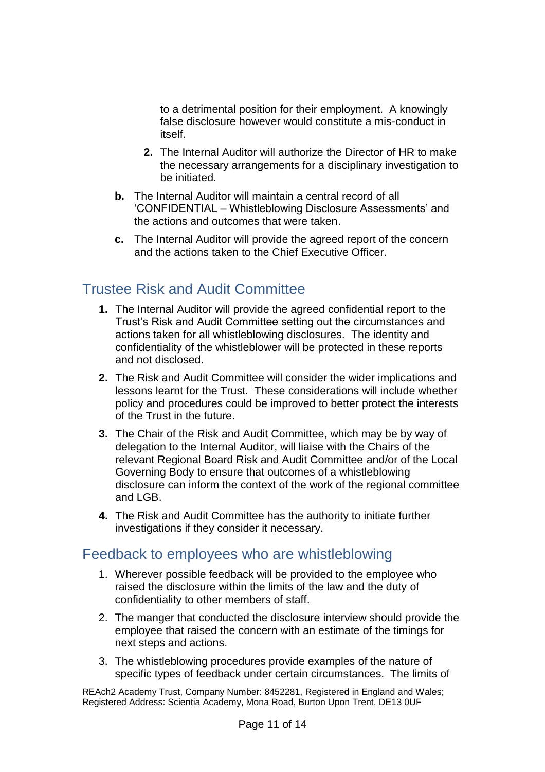to a detrimental position for their employment. A knowingly false disclosure however would constitute a mis-conduct in itself.

- **2.** The Internal Auditor will authorize the Director of HR to make the necessary arrangements for a disciplinary investigation to be initiated.
- **b.** The Internal Auditor will maintain a central record of all 'CONFIDENTIAL – Whistleblowing Disclosure Assessments' and the actions and outcomes that were taken.
- **c.** The Internal Auditor will provide the agreed report of the concern and the actions taken to the Chief Executive Officer.

# Trustee Risk and Audit Committee

- **1.** The Internal Auditor will provide the agreed confidential report to the Trust's Risk and Audit Committee setting out the circumstances and actions taken for all whistleblowing disclosures. The identity and confidentiality of the whistleblower will be protected in these reports and not disclosed.
- **2.** The Risk and Audit Committee will consider the wider implications and lessons learnt for the Trust. These considerations will include whether policy and procedures could be improved to better protect the interests of the Trust in the future.
- **3.** The Chair of the Risk and Audit Committee, which may be by way of delegation to the Internal Auditor, will liaise with the Chairs of the relevant Regional Board Risk and Audit Committee and/or of the Local Governing Body to ensure that outcomes of a whistleblowing disclosure can inform the context of the work of the regional committee and LGB.
- **4.** The Risk and Audit Committee has the authority to initiate further investigations if they consider it necessary.

## Feedback to employees who are whistleblowing

- 1. Wherever possible feedback will be provided to the employee who raised the disclosure within the limits of the law and the duty of confidentiality to other members of staff.
- 2. The manger that conducted the disclosure interview should provide the employee that raised the concern with an estimate of the timings for next steps and actions.
- 3. The whistleblowing procedures provide examples of the nature of specific types of feedback under certain circumstances. The limits of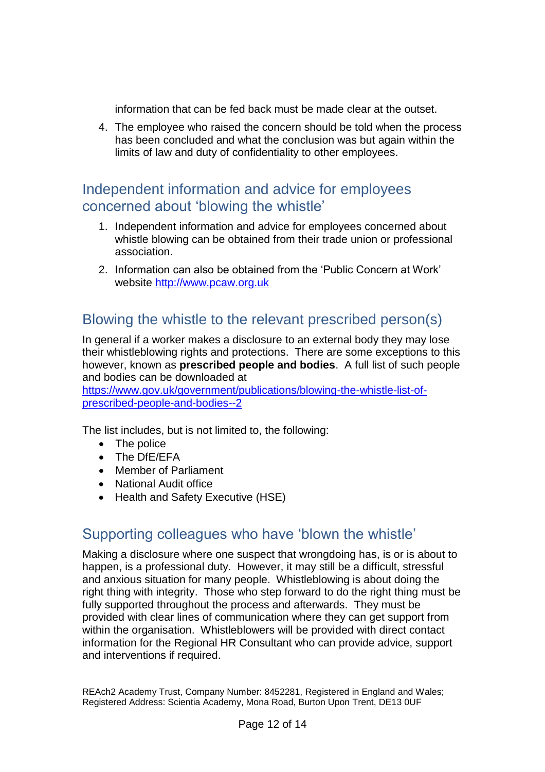information that can be fed back must be made clear at the outset.

4. The employee who raised the concern should be told when the process has been concluded and what the conclusion was but again within the limits of law and duty of confidentiality to other employees.

## Independent information and advice for employees concerned about 'blowing the whistle'

- 1. Independent information and advice for employees concerned about whistle blowing can be obtained from their trade union or professional association.
- 2. Information can also be obtained from the 'Public Concern at Work' website [http://www.pcaw.org.uk](http://www.pcaw.org.uk/)

## Blowing the whistle to the relevant prescribed person(s)

In general if a worker makes a disclosure to an external body they may lose their whistleblowing rights and protections. There are some exceptions to this however, known as **prescribed people and bodies**. A full list of such people and bodies can be downloaded at

[https://www.gov.uk/government/publications/blowing-the-whistle-list-of](https://www.gov.uk/government/publications/blowing-the-whistle-list-of-prescribed-people-and-bodies--2)[prescribed-people-and-bodies--2](https://www.gov.uk/government/publications/blowing-the-whistle-list-of-prescribed-people-and-bodies--2)

The list includes, but is not limited to, the following:

- The police
- The DfE/EFA
- Member of Parliament
- National Audit office
- Health and Safety Executive (HSE)

## Supporting colleagues who have 'blown the whistle'

Making a disclosure where one suspect that wrongdoing has, is or is about to happen, is a professional duty. However, it may still be a difficult, stressful and anxious situation for many people. Whistleblowing is about doing the right thing with integrity. Those who step forward to do the right thing must be fully supported throughout the process and afterwards. They must be provided with clear lines of communication where they can get support from within the organisation. Whistleblowers will be provided with direct contact information for the Regional HR Consultant who can provide advice, support and interventions if required.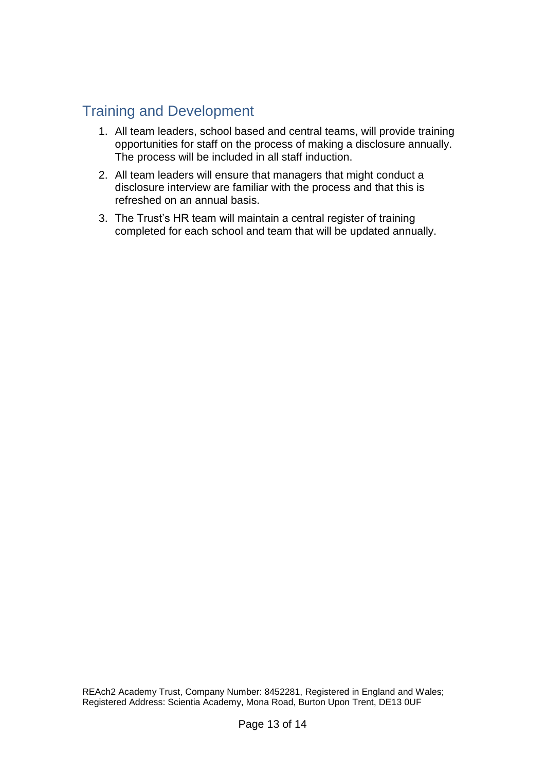## Training and Development

- 1. All team leaders, school based and central teams, will provide training opportunities for staff on the process of making a disclosure annually. The process will be included in all staff induction.
- 2. All team leaders will ensure that managers that might conduct a disclosure interview are familiar with the process and that this is refreshed on an annual basis.
- 3. The Trust's HR team will maintain a central register of training completed for each school and team that will be updated annually.